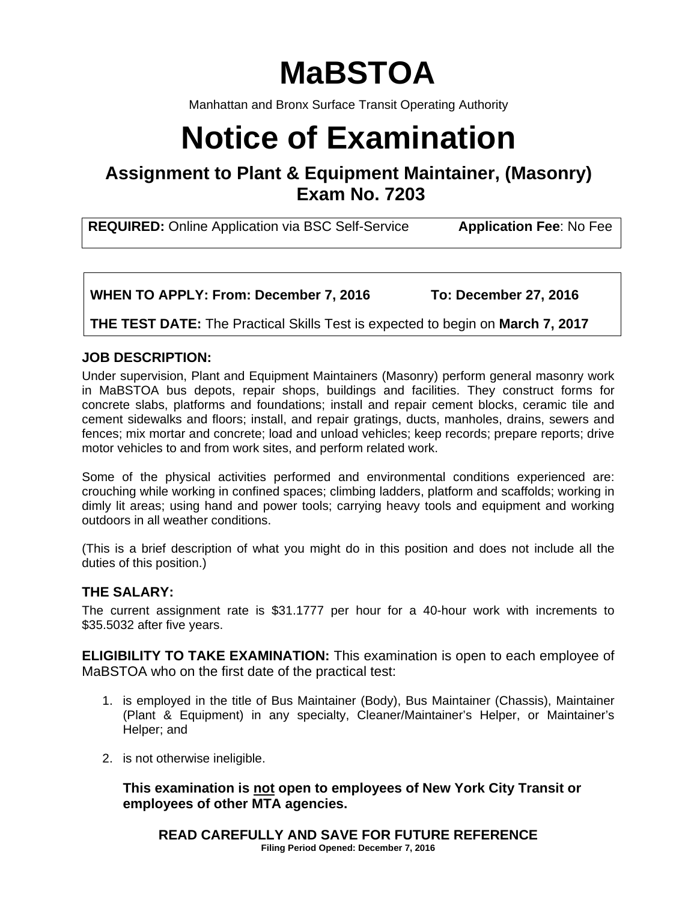# **MaBSTOA**

Manhattan and Bronx Surface Transit Operating Authority

# **Notice of Examination**

**Assignment to Plant & Equipment Maintainer, (Masonry) Exam No. 7203** 

**REQUIRED:** Online Application via BSC Self-Service **Application Fee**: No Fee

**WHEN TO APPLY: From: December 7, 2016 To: December 27, 2016** 

**THE TEST DATE:** The Practical Skills Test is expected to begin on **March 7, 2017** 

# **JOB DESCRIPTION:**

Under supervision, Plant and Equipment Maintainers (Masonry) perform general masonry work in MaBSTOA bus depots, repair shops, buildings and facilities. They construct forms for concrete slabs, platforms and foundations; install and repair cement blocks, ceramic tile and cement sidewalks and floors; install, and repair gratings, ducts, manholes, drains, sewers and fences; mix mortar and concrete; load and unload vehicles; keep records; prepare reports; drive motor vehicles to and from work sites, and perform related work.

Some of the physical activities performed and environmental conditions experienced are: crouching while working in confined spaces; climbing ladders, platform and scaffolds; working in dimly lit areas; using hand and power tools; carrying heavy tools and equipment and working outdoors in all weather conditions.

(This is a brief description of what you might do in this position and does not include all the duties of this position.)

# **THE SALARY:**

The current assignment rate is \$31.1777 per hour for a 40-hour work with increments to \$35.5032 after five years.

**ELIGIBILITY TO TAKE EXAMINATION:** This examination is open to each employee of MaBSTOA who on the first date of the practical test:

- 1. is employed in the title of Bus Maintainer (Body), Bus Maintainer (Chassis), Maintainer (Plant & Equipment) in any specialty, Cleaner/Maintainer's Helper, or Maintainer's Helper; and
- 2. is not otherwise ineligible.

**This examination is not open to employees of New York City Transit or employees of other MTA agencies.** 

**READ CAREFULLY AND SAVE FOR FUTURE REFERENCE Filing Period Opened: December 7, 2016**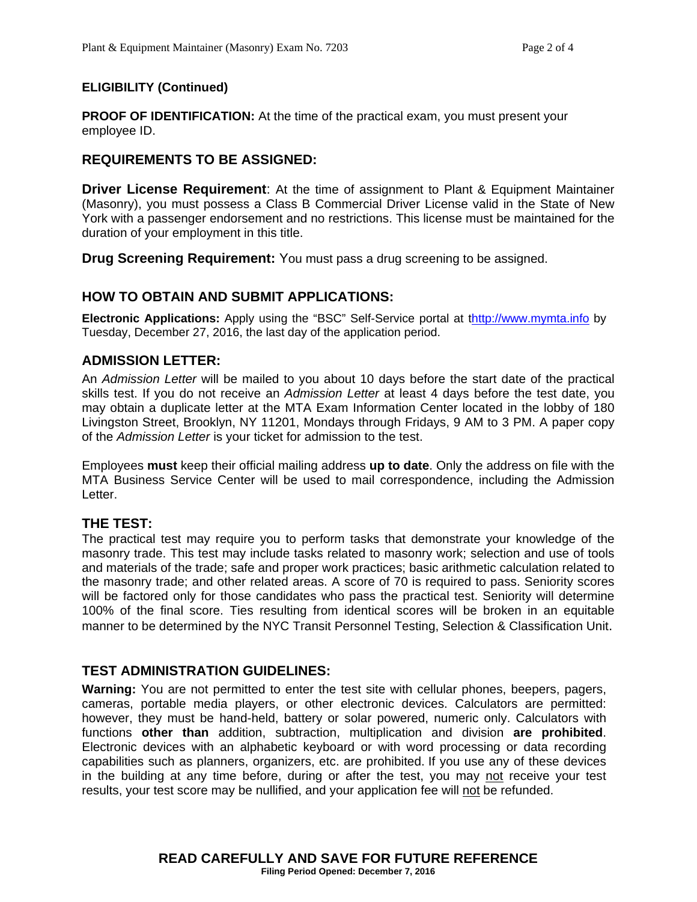#### **ELIGIBILITY (Continued)**

**PROOF OF IDENTIFICATION:** At the time of the practical exam, you must present your employee ID.

# **REQUIREMENTS TO BE ASSIGNED:**

**Driver License Requirement**: At the time of assignment to Plant & Equipment Maintainer (Masonry), you must possess a Class B Commercial Driver License valid in the State of New York with a passenger endorsement and no restrictions. This license must be maintained for the duration of your employment in this title.

**Drug Screening Requirement:** You must pass a drug screening to be assigned.

# **HOW TO OBTAIN AND SUBMIT APPLICATIONS:**

**Electronic Applications:** Apply using the "BSC" Self-Service portal at thttp://www.mymta.info by Tuesday, December 27, 2016, the last day of the application period.

# **ADMISSION LETTER:**

An *Admission Letter* will be mailed to you about 10 days before the start date of the practical skills test. If you do not receive an *Admission Letter* at least 4 days before the test date, you may obtain a duplicate letter at the MTA Exam Information Center located in the lobby of 180 Livingston Street, Brooklyn, NY 11201, Mondays through Fridays, 9 AM to 3 PM. A paper copy of the *Admission Letter* is your ticket for admission to the test.

Employees **must** keep their official mailing address **up to date**. Only the address on file with the MTA Business Service Center will be used to mail correspondence, including the Admission Letter.

# **THE TEST:**

The practical test may require you to perform tasks that demonstrate your knowledge of the masonry trade. This test may include tasks related to masonry work; selection and use of tools and materials of the trade; safe and proper work practices; basic arithmetic calculation related to the masonry trade; and other related areas. A score of 70 is required to pass. Seniority scores will be factored only for those candidates who pass the practical test. Seniority will determine 100% of the final score. Ties resulting from identical scores will be broken in an equitable manner to be determined by the NYC Transit Personnel Testing, Selection & Classification Unit.

# **TEST ADMINISTRATION GUIDELINES:**

**Warning:** You are not permitted to enter the test site with cellular phones, beepers, pagers, cameras, portable media players, or other electronic devices. Calculators are permitted: however, they must be hand-held, battery or solar powered, numeric only. Calculators with functions **other than** addition, subtraction, multiplication and division **are prohibited**. Electronic devices with an alphabetic keyboard or with word processing or data recording capabilities such as planners, organizers, etc. are prohibited. If you use any of these devices in the building at any time before, during or after the test, you may not receive your test results, your test score may be nullified, and your application fee will not be refunded.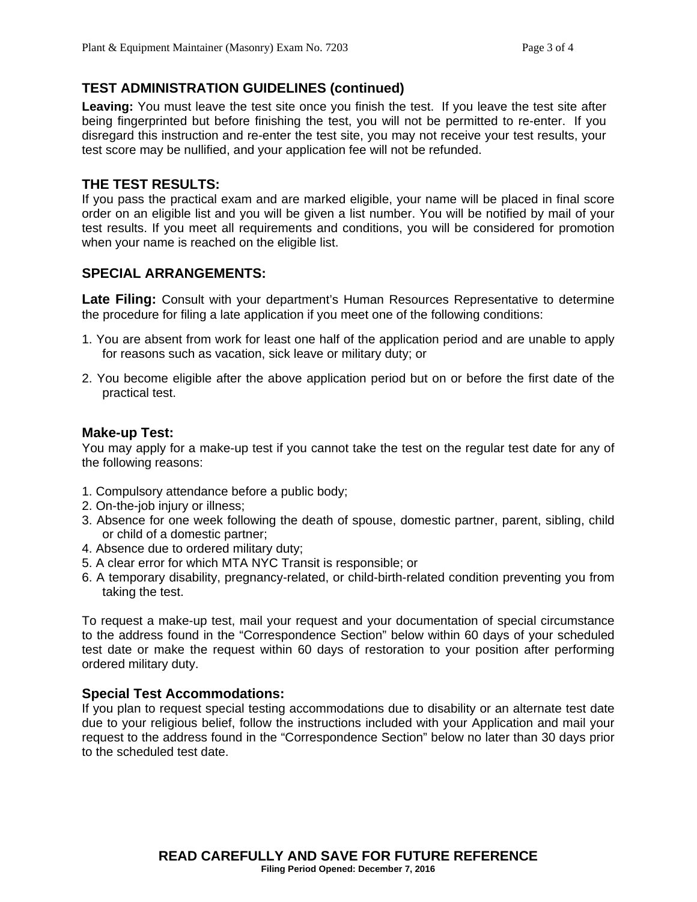# **TEST ADMINISTRATION GUIDELINES (continued)**

**Leaving:** You must leave the test site once you finish the test. If you leave the test site after being fingerprinted but before finishing the test, you will not be permitted to re-enter. If you disregard this instruction and re-enter the test site, you may not receive your test results, your test score may be nullified, and your application fee will not be refunded.

#### **THE TEST RESULTS:**

If you pass the practical exam and are marked eligible, your name will be placed in final score order on an eligible list and you will be given a list number. You will be notified by mail of your test results. If you meet all requirements and conditions, you will be considered for promotion when your name is reached on the eligible list.

#### **SPECIAL ARRANGEMENTS:**

**Late Filing:** Consult with your department's Human Resources Representative to determine the procedure for filing a late application if you meet one of the following conditions:

- 1. You are absent from work for least one half of the application period and are unable to apply for reasons such as vacation, sick leave or military duty; or
- 2. You become eligible after the above application period but on or before the first date of the practical test.

#### **Make-up Test:**

You may apply for a make-up test if you cannot take the test on the regular test date for any of the following reasons:

- 1. Compulsory attendance before a public body;
- 2. On-the-job injury or illness;
- 3. Absence for one week following the death of spouse, domestic partner, parent, sibling, child or child of a domestic partner;
- 4. Absence due to ordered military duty;
- 5. A clear error for which MTA NYC Transit is responsible; or
- 6. A temporary disability, pregnancy-related, or child-birth-related condition preventing you from taking the test.

To request a make-up test, mail your request and your documentation of special circumstance to the address found in the "Correspondence Section" below within 60 days of your scheduled test date or make the request within 60 days of restoration to your position after performing ordered military duty.

#### **Special Test Accommodations:**

If you plan to request special testing accommodations due to disability or an alternate test date due to your religious belief, follow the instructions included with your Application and mail your request to the address found in the "Correspondence Section" below no later than 30 days prior to the scheduled test date.